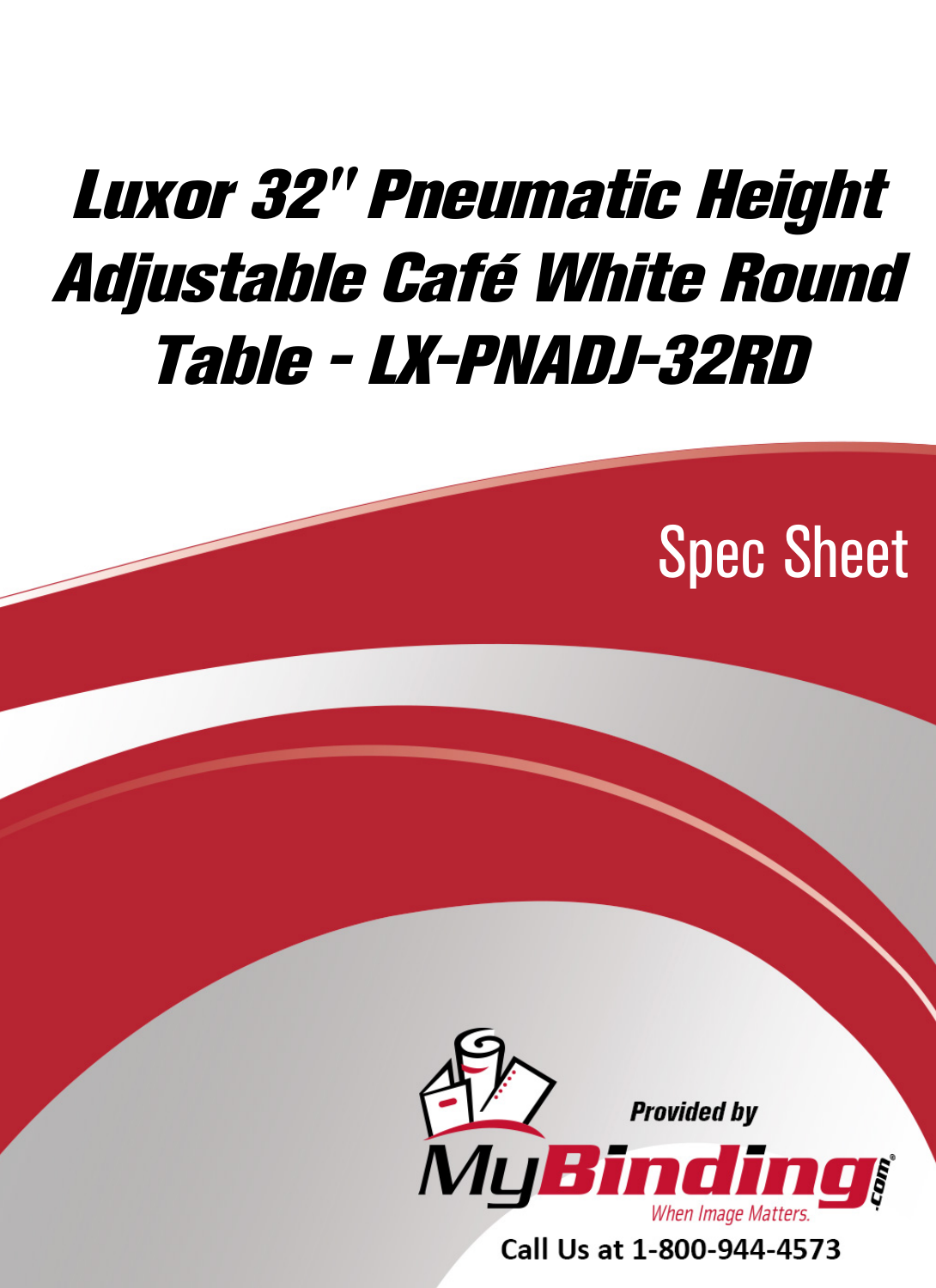## [Luxor 32" Pneumatic Height](https://www.mybinding.com/luxor-pneumatic-height-adjustable-cafe-white-round-tables.html?sku=LX-PNADJ-32RD)  Adjustable Café White Round Table - LX-PNADJ-32RD

Spec Sheet



Call Us at 1-800-944-4573